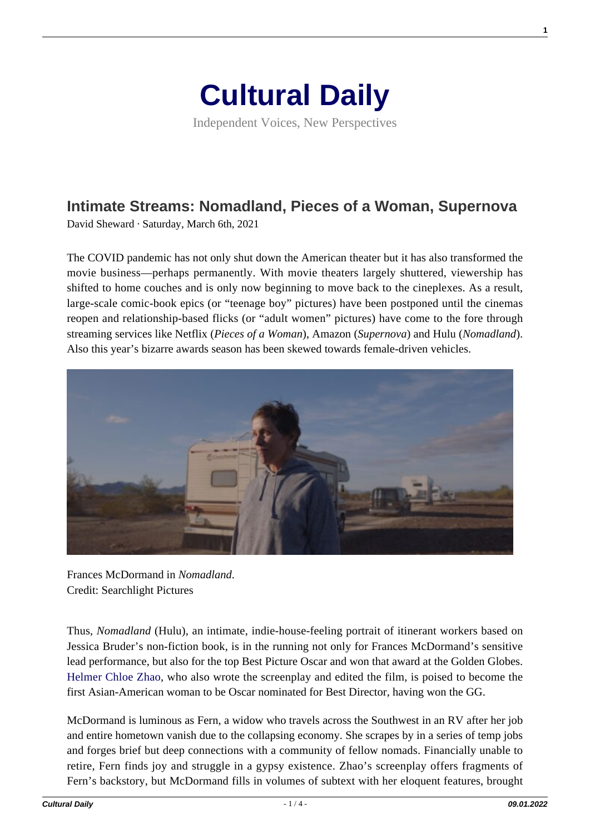

Independent Voices, New Perspectives

## **[Intimate Streams: Nomadland, Pieces of a Woman, Supernova](https://culturaldaily.com/intimate-streams-nomadland-pieces-of-a-woman-supernova/)**

David Sheward · Saturday, March 6th, 2021

The COVID pandemic has not only shut down the American theater but it has also transformed the movie business—perhaps permanently. With movie theaters largely shuttered, viewership has shifted to home couches and is only now beginning to move back to the cineplexes. As a result, large-scale comic-book epics (or "teenage boy" pictures) have been postponed until the cinemas reopen and relationship-based flicks (or "adult women" pictures) have come to the fore through streaming services like Netflix (*Pieces of a Woman*), Amazon (*Supernova*) and Hulu (*Nomadland*). Also this year's bizarre awards season has been skewed towards female-driven vehicles.



Frances McDormand in *Nomadland*. Credit: Searchlight Pictures

Thus, *Nomadland* (Hulu), an intimate, indie-house-feeling portrait of itinerant workers based on Jessica Bruder's non-fiction book, is in the running not only for Frances McDormand's sensitive lead performance, but also for the top Best Picture Oscar and won that award at the Golden Globes. [Helmer Chloe Zhao](https://www.culturalweekly.com/women-directors-2021/), who also wrote the screenplay and edited the film, is poised to become the first Asian-American woman to be Oscar nominated for Best Director, having won the GG.

McDormand is luminous as Fern, a widow who travels across the Southwest in an RV after her job and entire hometown vanish due to the collapsing economy. She scrapes by in a series of temp jobs and forges brief but deep connections with a community of fellow nomads. Financially unable to retire, Fern finds joy and struggle in a gypsy existence. Zhao's screenplay offers fragments of Fern's backstory, but McDormand fills in volumes of subtext with her eloquent features, brought **1**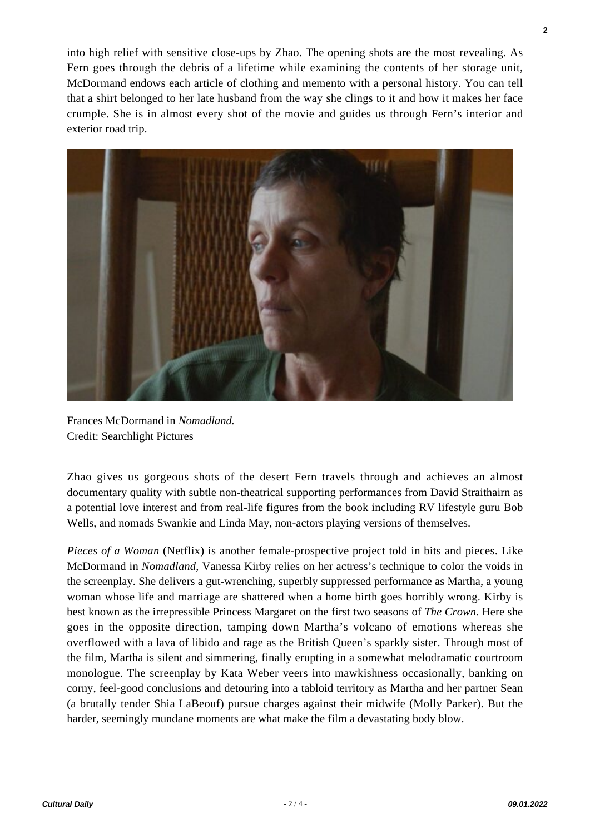into high relief with sensitive close-ups by Zhao. The opening shots are the most revealing. As Fern goes through the debris of a lifetime while examining the contents of her storage unit, McDormand endows each article of clothing and memento with a personal history. You can tell that a shirt belonged to her late husband from the way she clings to it and how it makes her face crumple. She is in almost every shot of the movie and guides us through Fern's interior and exterior road trip.



Frances McDormand in *Nomadland.* Credit: Searchlight Pictures

Zhao gives us gorgeous shots of the desert Fern travels through and achieves an almost documentary quality with subtle non-theatrical supporting performances from David Straithairn as a potential love interest and from real-life figures from the book including RV lifestyle guru Bob Wells, and nomads Swankie and Linda May, non-actors playing versions of themselves.

*Pieces of a Woman* (Netflix) is another female-prospective project told in bits and pieces. Like McDormand in *Nomadland*, Vanessa Kirby relies on her actress's technique to color the voids in the screenplay. She delivers a gut-wrenching, superbly suppressed performance as Martha, a young woman whose life and marriage are shattered when a home birth goes horribly wrong. Kirby is best known as the irrepressible Princess Margaret on the first two seasons of *The Crown*. Here she goes in the opposite direction, tamping down Martha's volcano of emotions whereas she overflowed with a lava of libido and rage as the British Queen's sparkly sister. Through most of the film, Martha is silent and simmering, finally erupting in a somewhat melodramatic courtroom monologue. The screenplay by Kata Weber veers into mawkishness occasionally, banking on corny, feel-good conclusions and detouring into a tabloid territory as Martha and her partner Sean (a brutally tender Shia LaBeouf) pursue charges against their midwife (Molly Parker). But the harder, seemingly mundane moments are what make the film a devastating body blow.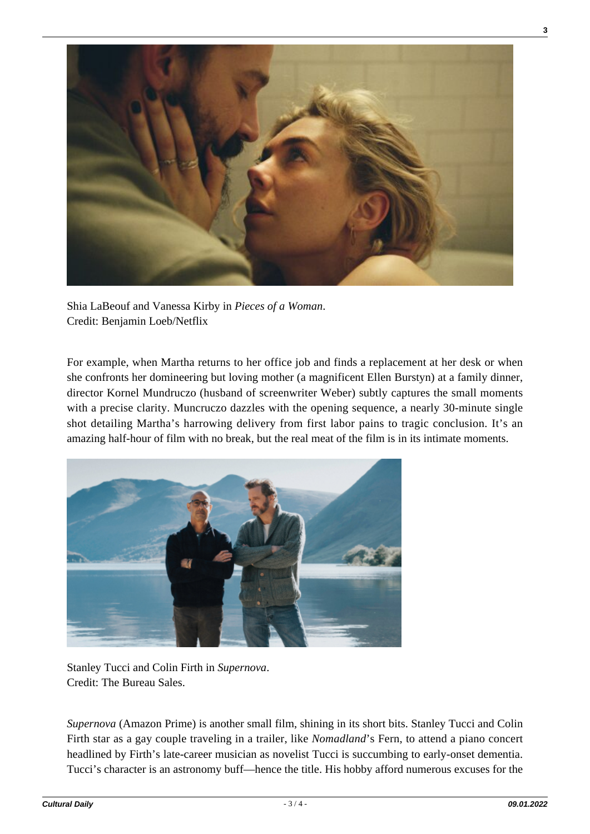

Shia LaBeouf and Vanessa Kirby in *Pieces of a Woman*. Credit: Benjamin Loeb/Netflix

For example, when Martha returns to her office job and finds a replacement at her desk or when she confronts her domineering but loving mother (a magnificent Ellen Burstyn) at a family dinner, director Kornel Mundruczo (husband of screenwriter Weber) subtly captures the small moments with a precise clarity. Muncruczo dazzles with the opening sequence, a nearly 30-minute single shot detailing Martha's harrowing delivery from first labor pains to tragic conclusion. It's an amazing half-hour of film with no break, but the real meat of the film is in its intimate moments.



Stanley Tucci and Colin Firth in *Supernova*. Credit: The Bureau Sales.

*Supernova* (Amazon Prime) is another small film, shining in its short bits. Stanley Tucci and Colin Firth star as a gay couple traveling in a trailer, like *Nomadland*'s Fern, to attend a piano concert headlined by Firth's late-career musician as novelist Tucci is succumbing to early-onset dementia. Tucci's character is an astronomy buff—hence the title. His hobby afford numerous excuses for the